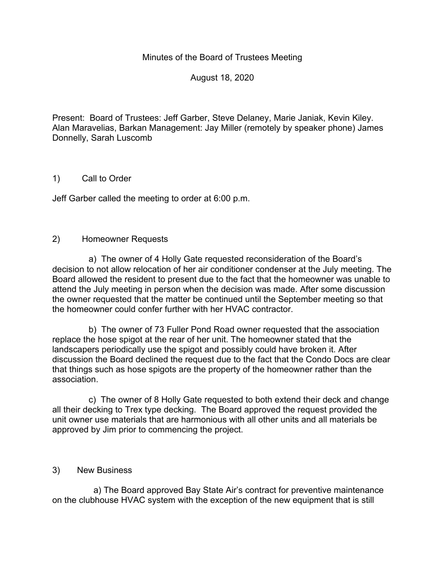### Minutes of the Board of Trustees Meeting

August 18, 2020

Present: Board of Trustees: Jeff Garber, Steve Delaney, Marie Janiak, Kevin Kiley. Alan Maravelias, Barkan Management: Jay Miller (remotely by speaker phone) James Donnelly, Sarah Luscomb

### 1) Call to Order

Jeff Garber called the meeting to order at 6:00 p.m.

#### 2) Homeowner Requests

 a) The owner of 4 Holly Gate requested reconsideration of the Board's decision to not allow relocation of her air conditioner condenser at the July meeting. The Board allowed the resident to present due to the fact that the homeowner was unable to attend the July meeting in person when the decision was made. After some discussion the owner requested that the matter be continued until the September meeting so that the homeowner could confer further with her HVAC contractor.

 b) The owner of 73 Fuller Pond Road owner requested that the association replace the hose spigot at the rear of her unit. The homeowner stated that the landscapers periodically use the spigot and possibly could have broken it. After discussion the Board declined the request due to the fact that the Condo Docs are clear that things such as hose spigots are the property of the homeowner rather than the association.

 c) The owner of 8 Holly Gate requested to both extend their deck and change all their decking to Trex type decking. The Board approved the request provided the unit owner use materials that are harmonious with all other units and all materials be approved by Jim prior to commencing the project.

#### 3) New Business

 a) The Board approved Bay State Air's contract for preventive maintenance on the clubhouse HVAC system with the exception of the new equipment that is still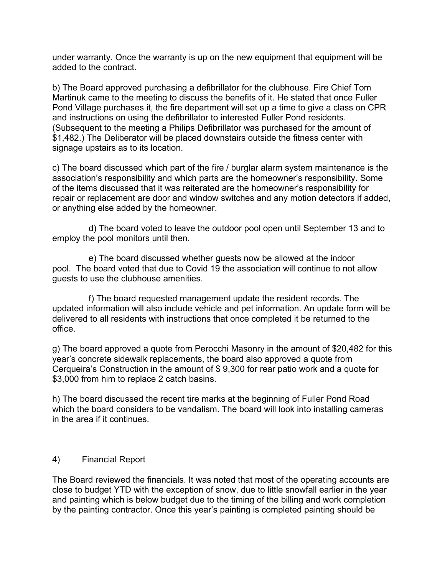under warranty. Once the warranty is up on the new equipment that equipment will be added to the contract.

b) The Board approved purchasing a defibrillator for the clubhouse. Fire Chief Tom Martinuk came to the meeting to discuss the benefits of it. He stated that once Fuller Pond Village purchases it, the fire department will set up a time to give a class on CPR and instructions on using the defibrillator to interested Fuller Pond residents. (Subsequent to the meeting a Philips Defibrillator was purchased for the amount of \$1,482.) The Deliberator will be placed downstairs outside the fitness center with signage upstairs as to its location.

c) The board discussed which part of the fire / burglar alarm system maintenance is the association's responsibility and which parts are the homeowner's responsibility. Some of the items discussed that it was reiterated are the homeowner's responsibility for repair or replacement are door and window switches and any motion detectors if added, or anything else added by the homeowner.

 d) The board voted to leave the outdoor pool open until September 13 and to employ the pool monitors until then.

 e) The board discussed whether guests now be allowed at the indoor pool. The board voted that due to Covid 19 the association will continue to not allow guests to use the clubhouse amenities.

 f) The board requested management update the resident records. The updated information will also include vehicle and pet information. An update form will be delivered to all residents with instructions that once completed it be returned to the office.

g) The board approved a quote from Perocchi Masonry in the amount of \$20,482 for this year's concrete sidewalk replacements, the board also approved a quote from Cerqueira's Construction in the amount of \$ 9,300 for rear patio work and a quote for \$3,000 from him to replace 2 catch basins.

h) The board discussed the recent tire marks at the beginning of Fuller Pond Road which the board considers to be vandalism. The board will look into installing cameras in the area if it continues.

### 4) Financial Report

The Board reviewed the financials. It was noted that most of the operating accounts are close to budget YTD with the exception of snow, due to little snowfall earlier in the year and painting which is below budget due to the timing of the billing and work completion by the painting contractor. Once this year's painting is completed painting should be